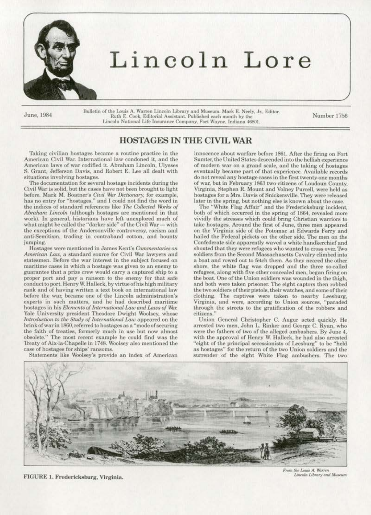

Bulletin of the Louis A. Warren Lincoln Library and Museum. Mark E. Neely. Jr., Editor.<br>Ruth E. Cook, Editorial Assistant. Published each month by the Number 1756 Lincoln National Life Insurance Company, Fort Wayne, Indiana 46801

Lincoln Lore

## HOSTAGES IN THE CIVIL WAR

Taking civilian hostages became a routine practice in the American CiviJ War. International law condoned it, and the American laws of war codified it. Abraham Lincoln, Ulysses S. Grant, Jefferson Davis, and Robert E. Lee all dealt with situations involving hostages.

The documentation for several hostage incidents during the Civil War is solid, but the cases have not been brought to light before. Mark M. Boatner's *Ciuil \\&r Dictionary,* for example, has no entry for "hostages," and I could not find the word in the indices of standard references like *The Collected Works of* Abraham Lincoln (although hostages are mentioned in that work). In general, historians have left unexplored much of what might be called the "darker side" of the Civil War - with the exceptions of the Andersonville controversy, racism and anti-Semitism, trading in contraband cotton, and bounty jumping.

Hostages were mentioned in James Kent's *Commentaries on Amerioon* Law, a standard source for Civil War lawyers and statesmen. Before the war interest in the subject focused on maritime cases in which a hostage was given to an enemy to guarantee that a prize crew would carry a captured ship to a proper port and pay a ransom to the enemy for that safe conduct to port. Henry W. Halleck, by virtue of his high military rank and of having written a text book on international law before the war, became one of the Lincoln administration's experts in such matters. and he had described maritime hostages in his *Elements of International Law and Laws of War.* Yale University president Theodore Dwight Woolsey, whose Introduction to the Study of International Law appeared on the brink of war in 1860, referred to hostages as a "mode of securing the faith of treaties. formerly much in use but now almost obsolete." The most recent example he could find was the Treaty of Aix-la-Chapelle in 1748. Woolsey also mentioned the case of hostages for ships' ransoms.

Statements like Woolsey's provide an index of American

innocence about warfare before 1861. After the firing on Fort Sumter, the United States descended into the hellish experience of modern war on a grand scale. and the taking of hostages eventually became part of that experience. Available records do not reveal any hostage cases in the first twenty-one months of war, but in February 1863 two citizens of Loudoun County, Virginia, Stephen R. Mount and Volney Purcell, were held as hostages for a Mrs. Davis of Snickersville. They were released<br>later in the spring, but nothing else is known about the case.

The "White Flag Affair" and the Fredericksburg incident, both of whieh occurred in the spring of 1864, revealed more vividly the stresses which oould bring Christian warriors to take hostages. Around the first of June, three men appeared on the Virginia side of the Potomac at Edwards Ferry and hailed the Federal pickets on the other side. The men on the Confederate side apparently waved a white handkerchief and shouted that they were refugees who wanted to cross over. Two soldiers from the Second Massachusetts Cavalry climbed into a boat and rowed out to fetch them. As they neared the other shore, the white flag was dropped and the three so-called refugees, along with five other concealed men. began firing on the boat. One of the Union soldiers was wounded in the thigh, and both were taken prisoner. The eight captors then robbed the two soldiers of their pistols., their watches. and someoftheir clothing. The captives were taken to nearby Leesburg, Virginia, and were, according to Union sources, "paraded through the streets to the gratification of the robbers and citizens."

Union General Christopher C. Augur acted quickly. He arrested two men, John L. Rinker and George C. Ryan, who were the fathers of two of the alleged ambushers. By June 4, with the approval of Henry W. Halleck, he had also arrested "eight of the principal secessionists of Leesburg" to be "held as hostages'• for the return of the two Union soldiers and the surrender of the eight White Flag ambushers. The two



FIGURE I. Fredericksburg, Virginia.

Frum the Louis A. Warren Lincoln Library and Museum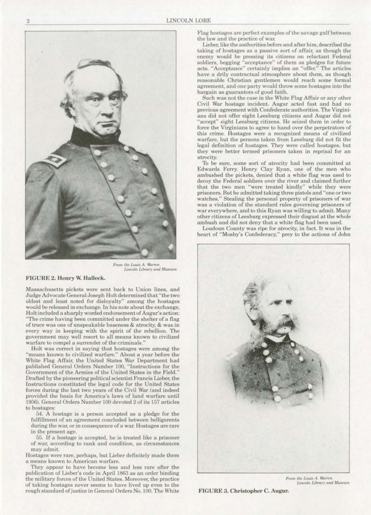

From the Louis A. Warren Lincoln Library and Museum

## FIGURE 2. Henry W. Halleck.

Massachusetts pickets were sent back to Union lines, and Judge Advocate General Joseph Holt determined that "the two oldest and least noted for disloyalty" among the hostages would be released in exchange. In his note about the exchange, Holt included a sharply worded endorsement of Augur's action: "The crime having been committed under the shelter of a flag of truce was one of unspeakable baseness & atrocity, & was in every way in keeping with the spirit of the rebellion. The government may well resort to all means known to civilized warfare to compel a surrender of the criminals.'

Holt was correct in saying that hostages were among the "means known to civilized warfare." About a year before the White Flag Affair, the United States War Department had published General Orders Number 100, "Instructions for the Government of the Armies of the United States in the Field." Drafted by the pioneering political scientist Francis Lieber, the Instructions constituted the legal code for the United States forces during the last two years of the Civil War (and indeed provided the basis for America's laws of land warfare until 1956). General Orders Number 100 devoted 2 of its 157 articles to hostages:

54. A hostage is a person accepted as a pledge for the fulfillment of an agreement concluded between belligerents during the war, or in consequence of a war. Hostages are rare in the present age.

55. If a hostage is accepted, he is treated like a prisoner of war, according to rank and condition, as circumstances may admit.

Hostages were rare, perhaps, but Lieber definitely made them a means known to American warfare.

They appear to have become less and less rare after the publication of Lieber's code in April 1863 as an order binding the military forces of the United States. Moreover, the practice of taking hostages never seems to have lived up even to the rough standard of justice in General Orders No. 100. The White

Flag hostages are perfect examples of the savage gulf between the law and the practice of war.

Lieber, like the authorities before and after him, described the taking of hostages as a passive sort of affair, as though the enemy would be pressing its citizens on reluctant Federal soldiers, begging "acceptance" of them as pledges for future<br>acts. "Acceptance" certainly implies an "offer." The articles have a drily contractual atmosphere about them, as though reasonable Christian gentlemen would reach some formal agreement, and one party would throw some hostages into the bargain as guarantors of good faith.

Such was not the case in the White Flag Affair or any other Civil War hostage incident. Augur acted fast and had no previous agreement with Confederate authorities. The Virginians did not offer eight Leesburg citizens and Augur did not "accept" eight Leesburg citizens. He seized them in order to force the Virginians to agree to hand over the perpetrators of this crime. Hostages were a recognized means of civilized warfare, but the persons taken from Leesburg did not fit the legal definition of hostages. They were called hostages, but they were better termed prisoners taken in reprisal for an atrocity.

To be sure, some sort of atrocity had been committed at Edwards Ferry. Henry Clay Ryan, one of the men who ambushed the pickets, denied that a white flag was used to decoy the Federal soldiers over the river and claimed further that the two men "were treated kindly" while they were prisoners. But he admitted taking three pistols and "one or two watches." Stealing the personal property of prisoners of war was a violation of the standard rules governing prisoners of war everywhere, and to this Ryan was willing to admit. Many other citizens of Leesburg expressed their disgust at the whole ambush and did not deny that a white flag had been used.

Loudoun County was ripe for atrocity, in fact. It was in the heart of "Mosby's Confederacy," prey to the actions of John



From the Louis A. Warren Lincoln Library and Museum

FIGURE 3. Christopher C. Augur.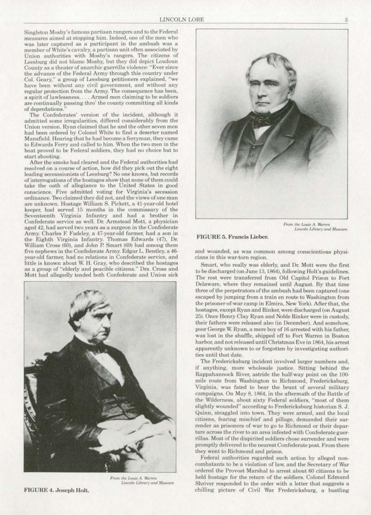Singleton Mosby's famous partisan rangers and to the Federal measures aimed at stopping him. Indeed, one of the men who was later captured *as* a participant in the ambush was a member of White's cavalry, a partisan unit often associated by Union authorities with Mosby's rangers. The citizens of Leesburg did not blame Mosby, but they did depict Loudoun County as a theater of anarchic guerrilla violence: "Ever since the advance of the Federal Army through this country under Col. Geary," a group of Leesburg petitioners explained, "we have been without any civil government, and without any regular protection from the Army. The consequence has been, a spirit of lawlessness.... Armed men claiming to be soldiers are continually passing thro' the county committing all kinds of depredations."

The Confederates' version of the incident, although it admitted some irregularities, differed considerably from the Union version. Ryan claimed that he and the other seven men had been ordered by Colonel White to find a deserter named Mansfield. Hearing that he had become a ferryman. they came to Edwards Ferry and called to him. When the two men in the boat proved to be Federal soldiers, they had no choice but to start shooting.

After the smoke had cleared and the Federal authorities had resolved on a course of action, how did they pick out the eight leading secesssionists of Leesburg? No one knows, but records of interrogations of the hostages show that none of them could take the oath of allegiance 10 the United States in good conscience. Five admitted voting for Virginia's secession ordinance. 1Wo claimed they did not. and the views of one man are unknown. Hostage William S. Pickett, a 41-year-old hotel keeper. had served 15 months in the commissary or the Seventeenth Virginia Infantry and had a brother in Confederate service as well. Dr. Armstead Mott, a physician aged 42. had served two years as a surgeon in the Confederate Army. Charles F. Fadeley, a 47-year-old farmer, had a son in<br>the Eighth Virginia Infantry. Thomas Edwards (47), Dr. William Cross (60), and John P. Smart (69) had among them five nephews in the Confederate Army. Edgar L. Bentley, a 46 year-old farmer, had no relations in Confederate service, and little is known about W. H. Gray, who described the hostages as a group of "elderly and peacible citizens." Drs. Cross and Mott had allegedly tended both Confederate and Union sick



*From the Louis A. Warren* Lincoln Library and Museum



*From the Louis A. Warren*<br>*Lincoln Library and Museum* 

## FIGURE 5. Francis Lieber.

and wounded, as was common among conscientious physicians in this war-torn region.

Smart, who really was elderly, and Dr. Mott were the first to be discharged (on June 13, 1864), following Holt's guidelines. The rest were transferred from Old Capitol Prison to Fort Delaware, where they remained until August. By that time three of the perpetrators of the ambush had been captured (one escaped by jumping from a train en route to Washington from the prisoner-of-war camp in Elmira, New York). After that, the hostages, except Ryan and Rinker, were discharged (on August 25). Once Henry Clay Ryan and Noble Rinker were in custody, their fathers were released also (in December). And somehow, poor George W. Ryan, a mere boy of 16 arrested with his father, was lost in the shuffle, shipped off to Fort Warren in Boston harbor. and not released until Christmas Eve in 1864, his arrest apparently unknown to or forgotten by investigating authorities until that date.

The fredericksburg incident involved Jarger numbers and, if anything, more wholesale justice. Sitting behind the Rappahannock River, astride the half-way point on the 100mile route from Washington to Richmond, Fredericksburg, Virginia, was fated to bear the brunt of several military campaigns. On May 8, 1864, in the aftermath of the Battle of the Wilderness, about sixty Federal soldiers, "most of them slightly wounded" according to Fredericksburg historian S. J. Quinn, straggled into town. They were armed, and the local citizens, fearing mischief and pillage, demanded their surrender as prisoners of war to go to Richmond or their depar· ture across the river to an area infested with Confederate guerrillas. Most of the dispirited soldiers chose surrender and were promptly delivered to the nearest Confederate post. From there they went to Richmond and prison.

Federal authorities regarded such action by alleged non· combatants to be a violation of law, and the Secretary of War ordered the Provost Marshal to arrest about 60 citizens to be held hostage for the return of the soldiers. Colonel Edmund Shriver responded to the order with a letter that suggests a chilling picture of Civil War Fredericksburg, a bustling

FIGURE 4. Joseph Holt.